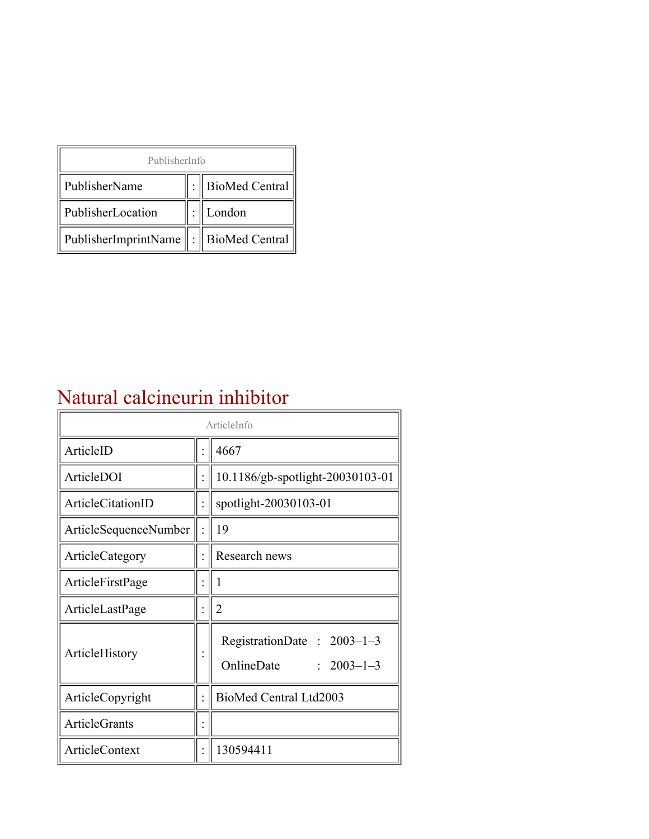| PublisherInfo                                   |  |                    |  |  |
|-------------------------------------------------|--|--------------------|--|--|
| PublisherName                                   |  | :   BioMed Central |  |  |
| PublisherLocation                               |  | London             |  |  |
| PublisherImprintName $\ \cdot\ $ BioMed Central |  |                    |  |  |

## Natural calcineurin inhibitor

| ArticleInfo            |  |                                                                |
|------------------------|--|----------------------------------------------------------------|
| ArticleID              |  | 4667                                                           |
| ArticleDOI             |  | 10.1186/gb-spotlight-20030103-01                               |
| ArticleCitationID      |  | spotlight-20030103-01                                          |
| ArticleSequenceNumber  |  | 19                                                             |
| <b>ArticleCategory</b> |  | Research news                                                  |
| ArticleFirstPage       |  | 1                                                              |
| ArticleLastPage        |  | $\overline{2}$                                                 |
| ArticleHistory         |  | RegistrationDate: $2003-1-3$<br>OnlineDate<br>$: 2003 - 1 - 3$ |
| ArticleCopyright       |  | BioMed Central Ltd2003                                         |
| ArticleGrants          |  |                                                                |
| <b>ArticleContext</b>  |  | 130594411                                                      |